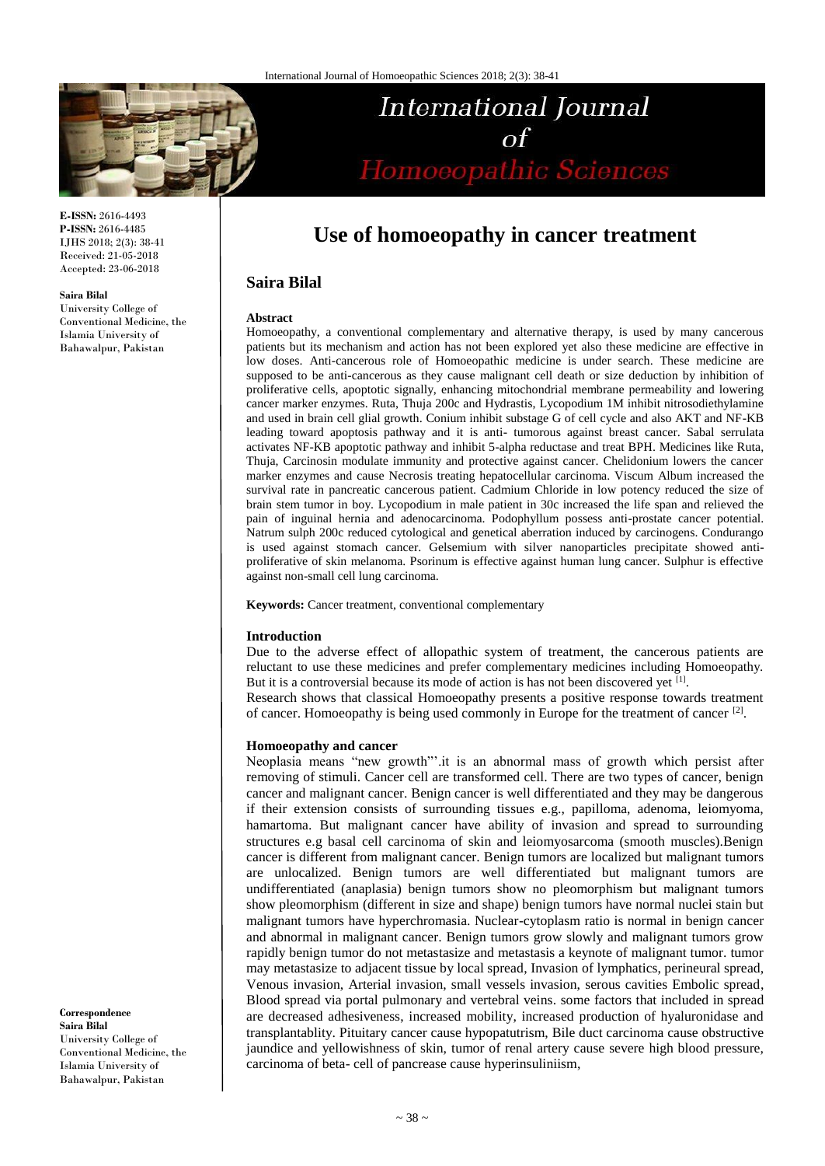

**E-ISSN:** 2616-4493 **P-ISSN:** 2616-4485 IJHS 2018; 2(3): 38-41 Received: 21-05-2018 Accepted: 23-06-2018

#### **Saira Bilal**

University College of Conventional Medicine, the Islamia University of Bahawalpur, Pakistan

# International Journal  $\sigma$ f Homoeopathic Sciences

# **Use of homoeopathy in cancer treatment**

# **Saira Bilal**

#### **Abstract**

Homoeopathy, a conventional complementary and alternative therapy, is used by many cancerous patients but its mechanism and action has not been explored yet also these medicine are effective in low doses. Anti-cancerous role of Homoeopathic medicine is under search. These medicine are supposed to be anti-cancerous as they cause malignant cell death or size deduction by inhibition of proliferative cells, apoptotic signally, enhancing mitochondrial membrane permeability and lowering cancer marker enzymes. Ruta, Thuja 200c and Hydrastis, Lycopodium 1M inhibit nitrosodiethylamine and used in brain cell glial growth. Conium inhibit substage G of cell cycle and also AKT and NF-KB leading toward apoptosis pathway and it is anti- tumorous against breast cancer. Sabal serrulata activates NF-KB apoptotic pathway and inhibit 5-alpha reductase and treat BPH. Medicines like Ruta, Thuja, Carcinosin modulate immunity and protective against cancer. Chelidonium lowers the cancer marker enzymes and cause Necrosis treating hepatocellular carcinoma. Viscum Album increased the survival rate in pancreatic cancerous patient. Cadmium Chloride in low potency reduced the size of brain stem tumor in boy. Lycopodium in male patient in 30c increased the life span and relieved the pain of inguinal hernia and adenocarcinoma. Podophyllum possess anti-prostate cancer potential. Natrum sulph 200c reduced cytological and genetical aberration induced by carcinogens. Condurango is used against stomach cancer. Gelsemium with silver nanoparticles precipitate showed antiproliferative of skin melanoma. Psorinum is effective against human lung cancer. Sulphur is effective against non-small cell lung carcinoma.

**Keywords:** Cancer treatment, conventional complementary

#### **Introduction**

Due to the adverse effect of allopathic system of treatment, the cancerous patients are reluctant to use these medicines and prefer complementary medicines including Homoeopathy. But it is a controversial because its mode of action is has not been discovered yet [1]. Research shows that classical Homoeopathy presents a positive response towards treatment of cancer. Homoeopathy is being used commonly in Europe for the treatment of cancer<sup>[2]</sup>.

#### **Homoeopathy and cancer**

Neoplasia means "new growth"'.it is an abnormal mass of growth which persist after removing of stimuli. Cancer cell are transformed cell. There are two types of cancer, benign cancer and malignant cancer. Benign cancer is well differentiated and they may be dangerous if their extension consists of surrounding tissues e.g., papilloma, adenoma, leiomyoma, hamartoma. But malignant cancer have ability of invasion and spread to surrounding structures e.g basal cell carcinoma of skin and leiomyosarcoma (smooth muscles).Benign cancer is different from malignant cancer. Benign tumors are localized but malignant tumors are unlocalized. Benign tumors are well differentiated but malignant tumors are undifferentiated (anaplasia) benign tumors show no pleomorphism but malignant tumors show pleomorphism (different in size and shape) benign tumors have normal nuclei stain but malignant tumors have hyperchromasia. Nuclear-cytoplasm ratio is normal in benign cancer and abnormal in malignant cancer. Benign tumors grow slowly and malignant tumors grow rapidly benign tumor do not metastasize and metastasis a keynote of malignant tumor. tumor may metastasize to adjacent tissue by local spread, Invasion of lymphatics, perineural spread, Venous invasion, Arterial invasion, small vessels invasion, serous cavities Embolic spread, Blood spread via portal pulmonary and vertebral veins. some factors that included in spread are decreased adhesiveness, increased mobility, increased production of hyaluronidase and transplantablity. Pituitary cancer cause hypopatutrism, Bile duct carcinoma cause obstructive jaundice and yellowishness of skin, tumor of renal artery cause severe high blood pressure, carcinoma of beta- cell of pancrease cause hyperinsuliniism,

**Correspondence Saira Bilal** University College of Conventional Medicine, the Islamia University of Bahawalpur, Pakistan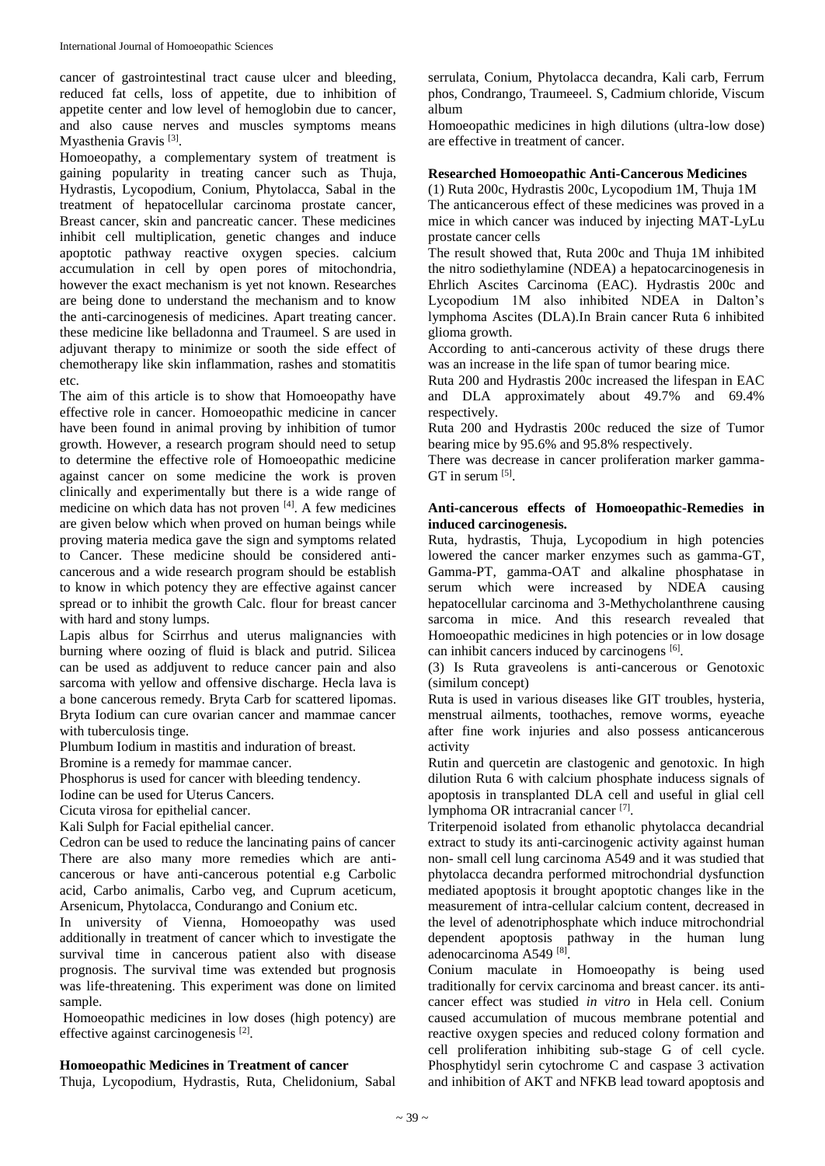cancer of gastrointestinal tract cause ulcer and bleeding, reduced fat cells, loss of appetite, due to inhibition of appetite center and low level of hemoglobin due to cancer, and also cause nerves and muscles symptoms means Myasthenia Gravis<sup>[3]</sup>.

Homoeopathy, a complementary system of treatment is gaining popularity in treating cancer such as Thuja, Hydrastis, Lycopodium, Conium, Phytolacca, Sabal in the treatment of hepatocellular carcinoma prostate cancer, Breast cancer, skin and pancreatic cancer. These medicines inhibit cell multiplication, genetic changes and induce apoptotic pathway reactive oxygen species. calcium accumulation in cell by open pores of mitochondria, however the exact mechanism is yet not known. Researches are being done to understand the mechanism and to know the anti-carcinogenesis of medicines. Apart treating cancer. these medicine like belladonna and Traumeel. S are used in adjuvant therapy to minimize or sooth the side effect of chemotherapy like skin inflammation, rashes and stomatitis etc.

The aim of this article is to show that Homoeopathy have effective role in cancer. Homoeopathic medicine in cancer have been found in animal proving by inhibition of tumor growth. However, a research program should need to setup to determine the effective role of Homoeopathic medicine against cancer on some medicine the work is proven clinically and experimentally but there is a wide range of medicine on which data has not proven [4]. A few medicines are given below which when proved on human beings while proving materia medica gave the sign and symptoms related to Cancer. These medicine should be considered anticancerous and a wide research program should be establish to know in which potency they are effective against cancer spread or to inhibit the growth Calc. flour for breast cancer with hard and stony lumps.

Lapis albus for Scirrhus and uterus malignancies with burning where oozing of fluid is black and putrid. Silicea can be used as addjuvent to reduce cancer pain and also sarcoma with yellow and offensive discharge. Hecla lava is a bone cancerous remedy. Bryta Carb for scattered lipomas. Bryta Iodium can cure ovarian cancer and mammae cancer with tuberculosis tinge.

Plumbum Iodium in mastitis and induration of breast.

Bromine is a remedy for mammae cancer.

Phosphorus is used for cancer with bleeding tendency.

Iodine can be used for Uterus Cancers.

Cicuta virosa for epithelial cancer.

Kali Sulph for Facial epithelial cancer.

Cedron can be used to reduce the lancinating pains of cancer There are also many more remedies which are anticancerous or have anti-cancerous potential e.g Carbolic acid, Carbo animalis, Carbo veg, and Cuprum aceticum, Arsenicum, Phytolacca, Condurango and Conium etc.

In university of Vienna, Homoeopathy was used additionally in treatment of cancer which to investigate the survival time in cancerous patient also with disease prognosis. The survival time was extended but prognosis was life-threatening. This experiment was done on limited sample.

Homoeopathic medicines in low doses (high potency) are effective against carcinogenesis<sup>[2]</sup>.

### **Homoeopathic Medicines in Treatment of cancer**

Thuja, Lycopodium, Hydrastis, Ruta, Chelidonium, Sabal

serrulata, Conium, Phytolacca decandra, Kali carb, Ferrum phos, Condrango, Traumeeel. S, Cadmium chloride, Viscum album

Homoeopathic medicines in high dilutions (ultra-low dose) are effective in treatment of cancer.

## **Researched Homoeopathic Anti-Cancerous Medicines**

(1) Ruta 200c, Hydrastis 200c, Lycopodium 1M, Thuja 1M The anticancerous effect of these medicines was proved in a mice in which cancer was induced by injecting MAT-LyLu prostate cancer cells

The result showed that, Ruta 200c and Thuja 1M inhibited the nitro sodiethylamine (NDEA) a hepatocarcinogenesis in Ehrlich Ascites Carcinoma (EAC). Hydrastis 200c and Lycopodium 1M also inhibited NDEA in Dalton's lymphoma Ascites (DLA).In Brain cancer Ruta 6 inhibited glioma growth.

According to anti-cancerous activity of these drugs there was an increase in the life span of tumor bearing mice.

Ruta 200 and Hydrastis 200c increased the lifespan in EAC and DLA approximately about 49.7% and 69.4% respectively.

Ruta 200 and Hydrastis 200c reduced the size of Tumor bearing mice by 95.6% and 95.8% respectively.

There was decrease in cancer proliferation marker gamma- $GT$  in serum  $^{[5]}$ .

#### **Anti-cancerous effects of Homoeopathic-Remedies in induced carcinogenesis.**

Ruta, hydrastis, Thuja, Lycopodium in high potencies lowered the cancer marker enzymes such as gamma-GT, Gamma-PT, gamma-OAT and alkaline phosphatase in serum which were increased by NDEA causing hepatocellular carcinoma and 3-Methycholanthrene causing sarcoma in mice. And this research revealed that Homoeopathic medicines in high potencies or in low dosage can inhibit cancers induced by carcinogens [6].

(3) Is Ruta graveolens is anti-cancerous or Genotoxic (similum concept)

Ruta is used in various diseases like GIT troubles, hysteria, menstrual ailments, toothaches, remove worms, eyeache after fine work injuries and also possess anticancerous activity

Rutin and quercetin are clastogenic and genotoxic. In high dilution Ruta 6 with calcium phosphate inducess signals of apoptosis in transplanted DLA cell and useful in glial cell lymphoma OR intracranial cancer<sup>[7]</sup>.

Triterpenoid isolated from ethanolic phytolacca decandrial extract to study its anti-carcinogenic activity against human non- small cell lung carcinoma A549 and it was studied that phytolacca decandra performed mitrochondrial dysfunction mediated apoptosis it brought apoptotic changes like in the measurement of intra-cellular calcium content, decreased in the level of adenotriphosphate which induce mitrochondrial dependent apoptosis pathway in the human lung adenocarcinoma A549<sup>[8]</sup>.

Conium maculate in Homoeopathy is being used traditionally for cervix carcinoma and breast cancer. its anticancer effect was studied *in vitro* in Hela cell. Conium caused accumulation of mucous membrane potential and reactive oxygen species and reduced colony formation and cell proliferation inhibiting sub-stage G of cell cycle. Phosphytidyl serin cytochrome C and caspase 3 activation and inhibition of AKT and NFKB lead toward apoptosis and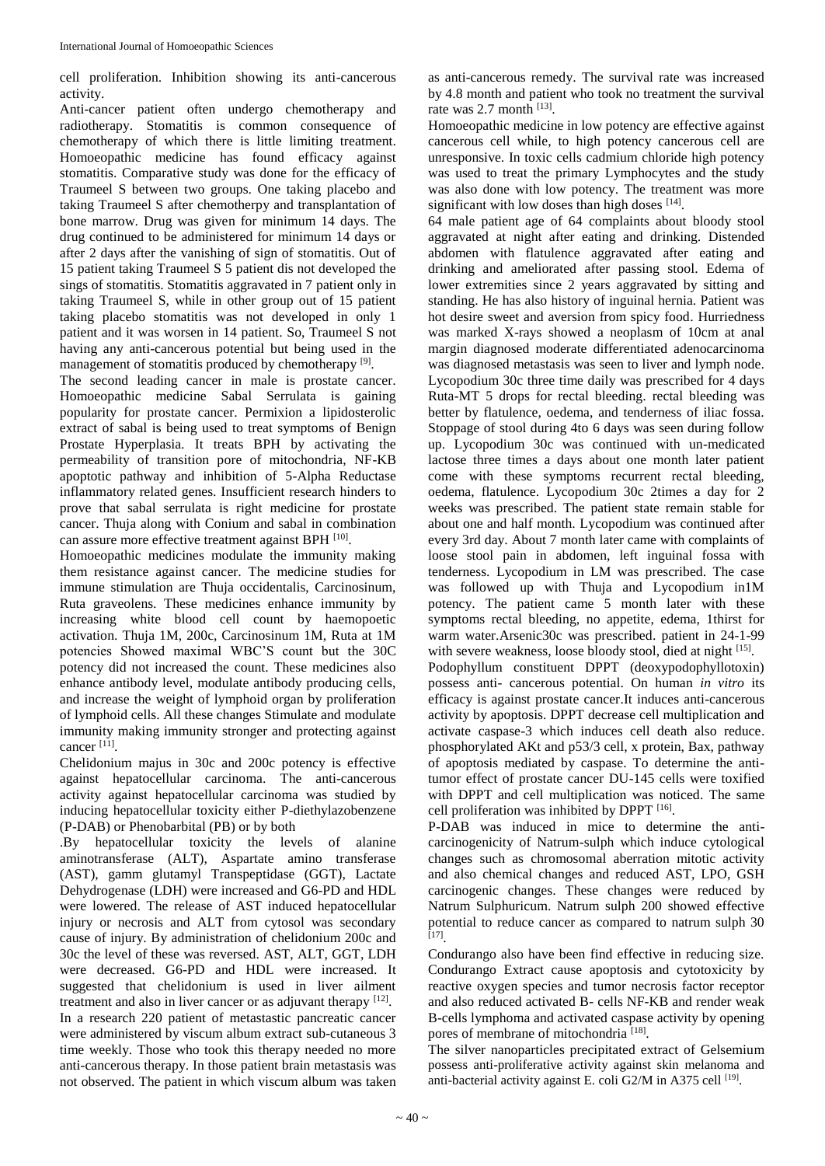cell proliferation. Inhibition showing its anti-cancerous activity.

Anti-cancer patient often undergo chemotherapy and radiotherapy. Stomatitis is common consequence of chemotherapy of which there is little limiting treatment. Homoeopathic medicine has found efficacy against stomatitis. Comparative study was done for the efficacy of Traumeel S between two groups. One taking placebo and taking Traumeel S after chemotherpy and transplantation of bone marrow. Drug was given for minimum 14 days. The drug continued to be administered for minimum 14 days or after 2 days after the vanishing of sign of stomatitis. Out of 15 patient taking Traumeel S 5 patient dis not developed the sings of stomatitis. Stomatitis aggravated in 7 patient only in taking Traumeel S, while in other group out of 15 patient taking placebo stomatitis was not developed in only 1 patient and it was worsen in 14 patient. So, Traumeel S not having any anti-cancerous potential but being used in the management of stomatitis produced by chemotherapy <sup>[9]</sup>.

The second leading cancer in male is prostate cancer. Homoeopathic medicine Sabal Serrulata is gaining popularity for prostate cancer. Permixion a lipidosterolic extract of sabal is being used to treat symptoms of Benign Prostate Hyperplasia. It treats BPH by activating the permeability of transition pore of mitochondria, NF-KB apoptotic pathway and inhibition of 5-Alpha Reductase inflammatory related genes. Insufficient research hinders to prove that sabal serrulata is right medicine for prostate cancer. Thuja along with Conium and sabal in combination can assure more effective treatment against BPH [10].

Homoeopathic medicines modulate the immunity making them resistance against cancer. The medicine studies for immune stimulation are Thuja occidentalis, Carcinosinum, Ruta graveolens. These medicines enhance immunity by increasing white blood cell count by haemopoetic activation. Thuja 1M, 200c, Carcinosinum 1M, Ruta at 1M potencies Showed maximal WBC'S count but the 30C potency did not increased the count. These medicines also enhance antibody level, modulate antibody producing cells, and increase the weight of lymphoid organ by proliferation of lymphoid cells. All these changes Stimulate and modulate immunity making immunity stronger and protecting against cancer [11] .

Chelidonium majus in 30c and 200c potency is effective against hepatocellular carcinoma. The anti-cancerous activity against hepatocellular carcinoma was studied by inducing hepatocellular toxicity either P-diethylazobenzene (P-DAB) or Phenobarbital (PB) or by both

.By hepatocellular toxicity the levels of alanine aminotransferase (ALT), Aspartate amino transferase (AST), gamm glutamyl Transpeptidase (GGT), Lactate Dehydrogenase (LDH) were increased and G6-PD and HDL were lowered. The release of AST induced hepatocellular injury or necrosis and ALT from cytosol was secondary cause of injury. By administration of chelidonium 200c and 30c the level of these was reversed. AST, ALT, GGT, LDH were decreased. G6-PD and HDL were increased. It suggested that chelidonium is used in liver ailment treatment and also in liver cancer or as adjuvant therapy  $[12]$ . In a research 220 patient of metastastic pancreatic cancer were administered by viscum album extract sub-cutaneous 3 time weekly. Those who took this therapy needed no more anti-cancerous therapy. In those patient brain metastasis was not observed. The patient in which viscum album was taken

as anti-cancerous remedy. The survival rate was increased by 4.8 month and patient who took no treatment the survival rate was  $2.7$  month  $^{[13]}$ .

Homoeopathic medicine in low potency are effective against cancerous cell while, to high potency cancerous cell are unresponsive. In toxic cells cadmium chloride high potency was used to treat the primary Lymphocytes and the study was also done with low potency. The treatment was more significant with low doses than high doses  $[14]$ .

64 male patient age of 64 complaints about bloody stool aggravated at night after eating and drinking. Distended abdomen with flatulence aggravated after eating and drinking and ameliorated after passing stool. Edema of lower extremities since 2 years aggravated by sitting and standing. He has also history of inguinal hernia. Patient was hot desire sweet and aversion from spicy food. Hurriedness was marked X-rays showed a neoplasm of 10cm at anal margin diagnosed moderate differentiated adenocarcinoma was diagnosed metastasis was seen to liver and lymph node. Lycopodium 30c three time daily was prescribed for 4 days Ruta-MT 5 drops for rectal bleeding. rectal bleeding was better by flatulence, oedema, and tenderness of iliac fossa. Stoppage of stool during 4to 6 days was seen during follow up. Lycopodium 30c was continued with un-medicated lactose three times a days about one month later patient come with these symptoms recurrent rectal bleeding, oedema, flatulence. Lycopodium 30c 2times a day for 2 weeks was prescribed. The patient state remain stable for about one and half month. Lycopodium was continued after every 3rd day. About 7 month later came with complaints of loose stool pain in abdomen, left inguinal fossa with tenderness. Lycopodium in LM was prescribed. The case was followed up with Thuja and Lycopodium in1M potency. The patient came 5 month later with these symptoms rectal bleeding, no appetite, edema, 1thirst for warm water.Arsenic30c was prescribed. patient in 24-1-99 with severe weakness, loose bloody stool, died at night [15].

Podophyllum constituent DPPT (deoxypodophyllotoxin) possess anti- cancerous potential. On human *in vitro* its efficacy is against prostate cancer.It induces anti-cancerous activity by apoptosis. DPPT decrease cell multiplication and activate caspase-3 which induces cell death also reduce. phosphorylated AKt and p53/3 cell, x protein, Bax, pathway of apoptosis mediated by caspase. To determine the antitumor effect of prostate cancer DU-145 cells were toxified with DPPT and cell multiplication was noticed. The same cell proliferation was inhibited by DPPT [16].

P-DAB was induced in mice to determine the anticarcinogenicity of Natrum-sulph which induce cytological changes such as chromosomal aberration mitotic activity and also chemical changes and reduced AST, LPO, GSH carcinogenic changes. These changes were reduced by Natrum Sulphuricum. Natrum sulph 200 showed effective potential to reduce cancer as compared to natrum sulph 30 [17] .

Condurango also have been find effective in reducing size. Condurango Extract cause apoptosis and cytotoxicity by reactive oxygen species and tumor necrosis factor receptor and also reduced activated B- cells NF-KB and render weak B-cells lymphoma and activated caspase activity by opening pores of membrane of mitochondria<sup>[18]</sup>.

The silver nanoparticles precipitated extract of Gelsemium possess anti-proliferative activity against skin melanoma and anti-bacterial activity against E. coli G2/M in A375 cell [19].